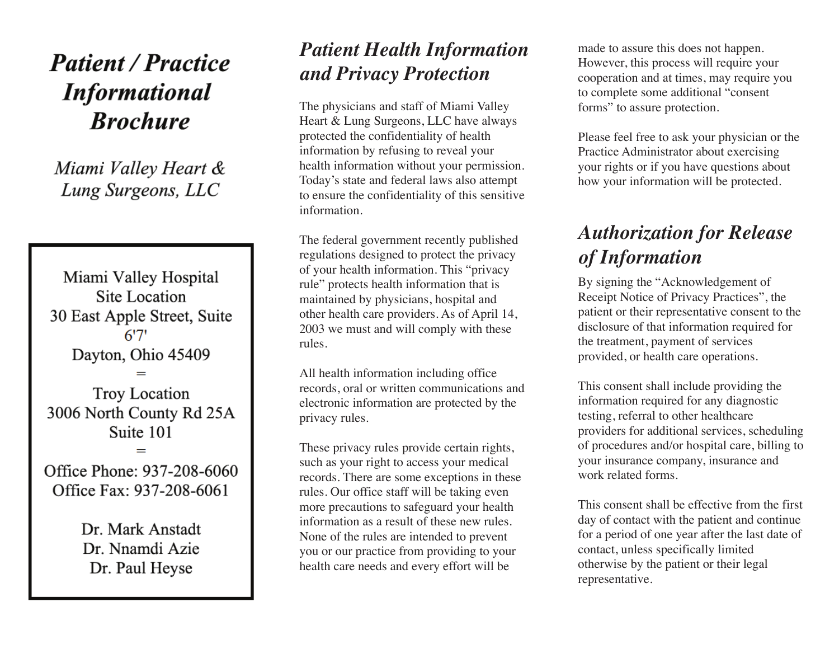# **Patient / Practice Informational Brochure**

Miami Valley Heart & Lung Surgeons, LLC

Miami Valley Hospital Site Location 30 East Apple Street, Suite  $6'7'$ Dayton, Ohio 45409 **Troy Location** 3006 North County Rd 25A Suite 101 Office Phone: 937-208-6060 Office Fax: 937-208-6061

Dr. Mark Anstadt Dr. Nnamdi Azie Dr. Paul Heyse

#### *Patient Health Information and Privacy Protection*

The physicians and staff of Miami Valley Heart & Lung Surgeons, LLC have always protected the confidentiality of health information by refusing to reveal your health information without your permission. Today's state and federal laws also attempt to ensure the confidentiality of this sensitive information.

The federal government recently published regulations designed to protect the privacy of your health information. This "privacy rule" protects health information that is maintained by physicians, hospital and other health care providers. As of April 14, 2003 we must and will comply with these rules.

All health information including office records, oral or written communications and electronic information are protected by the privacy rules.

These privacy rules provide certain rights, such as your right to access your medical records. There are some exceptions in these rules. Our office staff will be taking even more precautions to safeguard your health information as a result of these new rules. None of the rules are intended to prevent you or our practice from providing to your health care needs and every effort will be

made to assure this does not happen. However, this process will require your cooperation and at times, may require you to complete some additional "consent forms" to assure protection.

Please feel free to ask your physician or the Practice Administrator about exercising your rights or if you have questions about how your information will be protected.

## *Authorization for Release of Information*

By signing the "Acknowledgement of Receipt Notice of Privacy Practices", the patient or their representative consent to the disclosure of that information required for the treatment, payment of services provided, or health care operations.

This consent shall include providing the information required for any diagnostic testing, referral to other healthcare providers for additional services, scheduling of procedures and/or hospital care, billing to your insurance company, insurance and work related forms.

This consent shall be effective from the first day of contact with the patient and continue for a period of one year after the last date of contact, unless specifically limited otherwise by the patient or their legal representative.